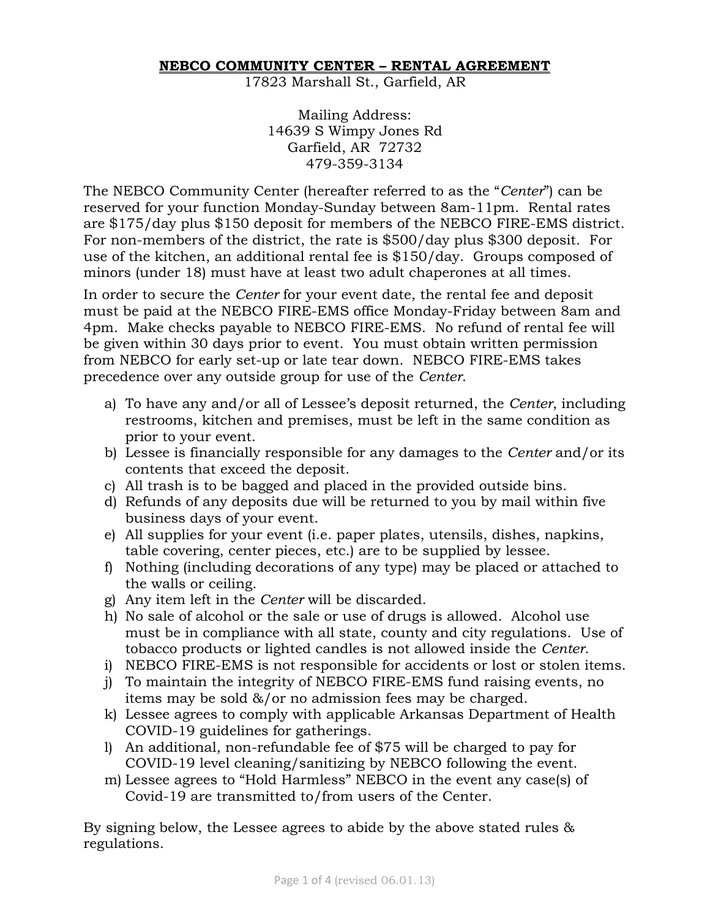## **NEBCO COMMUNITY CENTER – RENTAL AGREEMENT**

17823 Marshall St., Garfield, AR

Mailing Address: 14639 S Wimpy Jones Rd Garfield, AR 72732 479-359-3134

The NEBCO Community Center (hereafter referred to as the "*Center*") can be reserved for your function Monday-Sunday between 8am-11pm. Rental rates are \$175/day plus \$150 deposit for members of the NEBCO FIRE-EMS district. For non-members of the district, the rate is \$500/day plus \$300 deposit. For use of the kitchen, an additional rental fee is \$150/day. Groups composed of minors (under 18) must have at least two adult chaperones at all times.

In order to secure the *Center* for your event date, the rental fee and deposit must be paid at the NEBCO FIRE-EMS office Monday-Friday between 8am and 4pm. Make checks payable to NEBCO FIRE-EMS. No refund of rental fee will be given within 30 days prior to event. You must obtain written permission from NEBCO for early set-up or late tear down. NEBCO FIRE-EMS takes precedence over any outside group for use of the *Center*.

- a) To have any and/or all of Lessee's deposit returned, the *Center*, including restrooms, kitchen and premises, must be left in the same condition as prior to your event.
- b) Lessee is financially responsible for any damages to the *Center* and/or its contents that exceed the deposit.
- c) All trash is to be bagged and placed in the provided outside bins.
- d) Refunds of any deposits due will be returned to you by mail within five business days of your event.
- e) All supplies for your event (i.e. paper plates, utensils, dishes, napkins, table covering, center pieces, etc.) are to be supplied by lessee.
- f) Nothing (including decorations of any type) may be placed or attached to the walls or ceiling.
- g) Any item left in the *Center* will be discarded.
- h) No sale of alcohol or the sale or use of drugs is allowed. Alcohol use must be in compliance with all state, county and city regulations. Use of tobacco products or lighted candles is not allowed inside the *Center*.
- i) NEBCO FIRE-EMS is not responsible for accidents or lost or stolen items.
- j) To maintain the integrity of NEBCO FIRE-EMS fund raising events, no items may be sold &/or no admission fees may be charged.
- k) Lessee agrees to comply with applicable Arkansas Department of Health COVID-19 guidelines for gatherings.
- l) An additional, non-refundable fee of \$75 will be charged to pay for COVID-19 level cleaning/sanitizing by NEBCO following the event.
- m) Lessee agrees to "Hold Harmless" NEBCO in the event any case(s) of Covid-19 are transmitted to/from users of the Center.

By signing below, the Lessee agrees to abide by the above stated rules & regulations.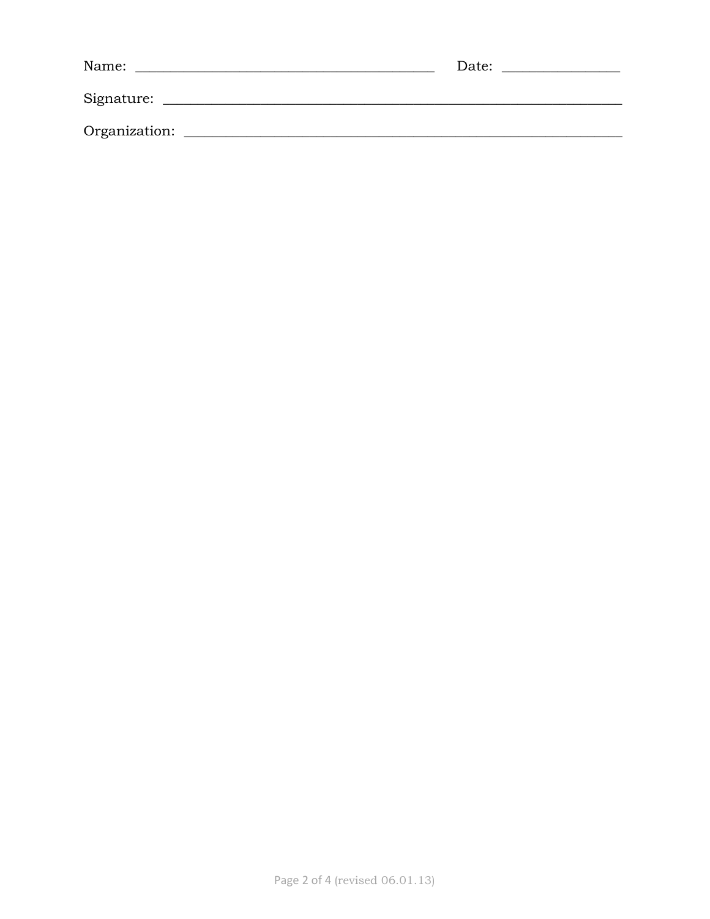| Name:         | Date: |
|---------------|-------|
| Signature:    |       |
| Organization: |       |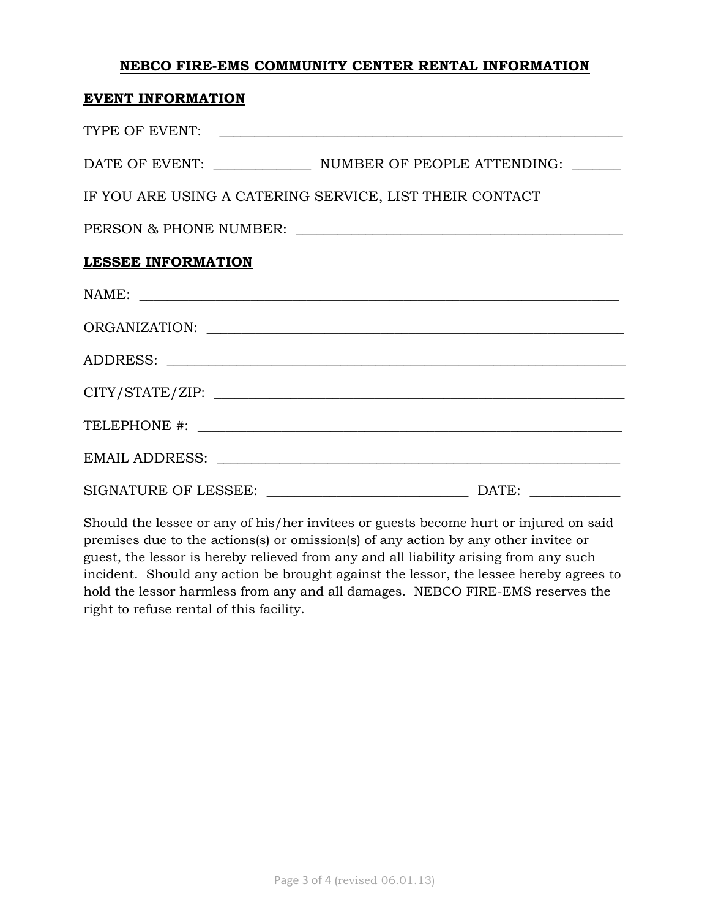## **NEBCO FIRE-EMS COMMUNITY CENTER RENTAL INFORMATION**

## **EVENT INFORMATION**

| TYPE OF EVENT:                                          |  |
|---------------------------------------------------------|--|
|                                                         |  |
| IF YOU ARE USING A CATERING SERVICE, LIST THEIR CONTACT |  |
|                                                         |  |
| <b>LESSEE INFORMATION</b>                               |  |
| NAME:                                                   |  |
|                                                         |  |
|                                                         |  |
| CITY/STATE/ZIP:                                         |  |
|                                                         |  |
|                                                         |  |
|                                                         |  |

Should the lessee or any of his/her invitees or guests become hurt or injured on said premises due to the actions(s) or omission(s) of any action by any other invitee or guest, the lessor is hereby relieved from any and all liability arising from any such incident. Should any action be brought against the lessor, the lessee hereby agrees to hold the lessor harmless from any and all damages. NEBCO FIRE-EMS reserves the right to refuse rental of this facility.